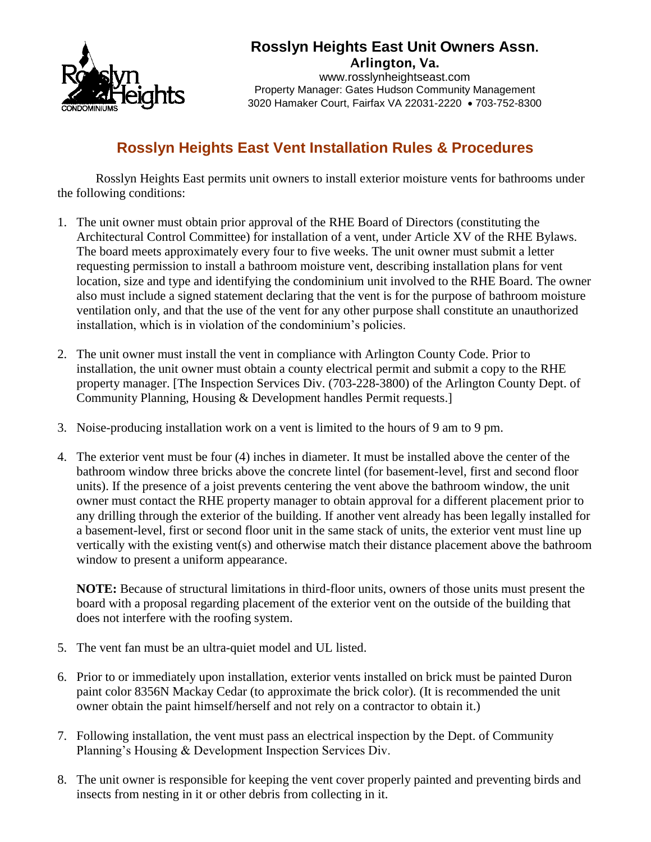

## **Rosslyn Heights East Unit Owners Assn.**

Arlington, Va. www.rosslynheightseast.com Property Manager: Gates Hudson Community Management 3020 Hamaker Court, Fairfax VA 22031-2220 703-752-8300

## **Rosslyn Heights East Vent Installation Rules & Procedures**

Rosslyn Heights East permits unit owners to install exterior moisture vents for bathrooms under the following conditions:

- 1. The unit owner must obtain prior approval of the RHE Board of Directors (constituting the Architectural Control Committee) for installation of a vent, under Article XV of the RHE Bylaws. The board meets approximately every four to five weeks. The unit owner must submit a letter requesting permission to install a bathroom moisture vent, describing installation plans for vent location, size and type and identifying the condominium unit involved to the RHE Board. The owner also must include a signed statement declaring that the vent is for the purpose of bathroom moisture ventilation only, and that the use of the vent for any other purpose shall constitute an unauthorized installation, which is in violation of the condominium's policies.
- 2. The unit owner must install the vent in compliance with Arlington County Code. Prior to installation, the unit owner must obtain a county electrical permit and submit a copy to the RHE property manager. [The Inspection Services Div. (703-228-3800) of the Arlington County Dept. of Community Planning, Housing & Development handles Permit requests.]
- 3. Noise-producing installation work on a vent is limited to the hours of 9 am to 9 pm.
- 4. The exterior vent must be four (4) inches in diameter. It must be installed above the center of the bathroom window three bricks above the concrete lintel (for basement-level, first and second floor units). If the presence of a joist prevents centering the vent above the bathroom window, the unit owner must contact the RHE property manager to obtain approval for a different placement prior to any drilling through the exterior of the building. If another vent already has been legally installed for a basement-level, first or second floor unit in the same stack of units, the exterior vent must line up vertically with the existing vent(s) and otherwise match their distance placement above the bathroom window to present a uniform appearance.

**NOTE:** Because of structural limitations in third-floor units, owners of those units must present the board with a proposal regarding placement of the exterior vent on the outside of the building that does not interfere with the roofing system.

- 5. The vent fan must be an ultra-quiet model and UL listed.
- 6. Prior to or immediately upon installation, exterior vents installed on brick must be painted Duron paint color 8356N Mackay Cedar (to approximate the brick color). (It is recommended the unit owner obtain the paint himself/herself and not rely on a contractor to obtain it.)
- 7. Following installation, the vent must pass an electrical inspection by the Dept. of Community Planning's Housing & Development Inspection Services Div.
- 8. The unit owner is responsible for keeping the vent cover properly painted and preventing birds and insects from nesting in it or other debris from collecting in it.